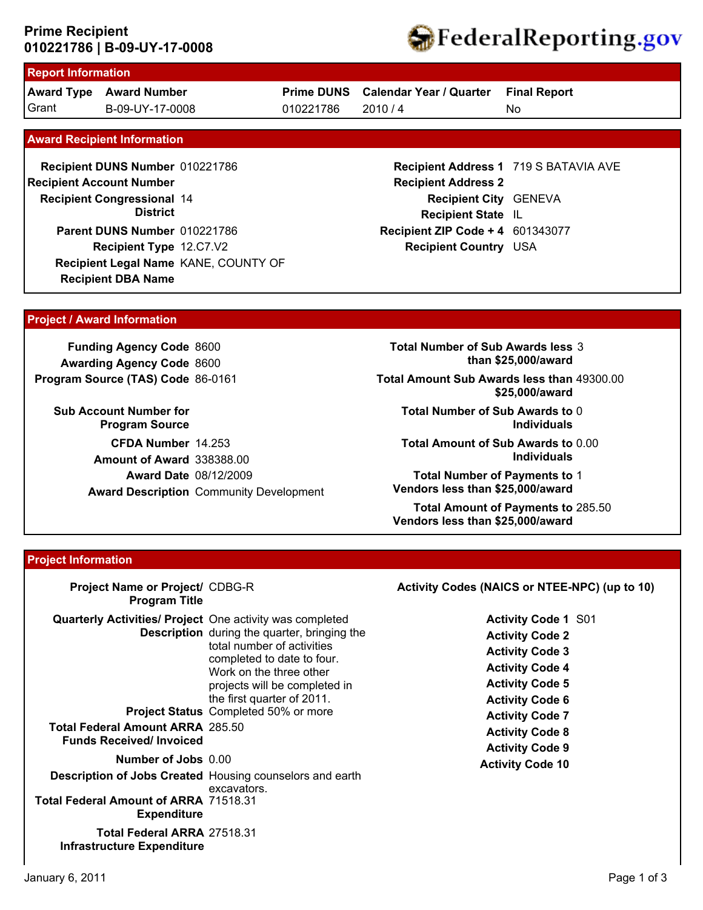### **010221786 | B-09-UY-17-0008 Prime Recipient**



# **Report Information**

**Award Type Award Number** Grant B-09-UY-17-0008 010221786 2010 / 4

**Prime DUNS Calendar Year / Quarter**

010221786

**Final Report**

No

#### **Award Recipient Information**

**Recipient DBA Name Recipient DUNS Number** 010221786 **Recipient Congressional 14 Recipient Account Number District Recipient Type** 12.C7.V2 **Parent DUNS Number** 010221786 **Recipient Legal Name** KANE, COUNTY OF

**Recipient Address 1** 719 S BATAVIA AVE **Recipient Address 2 Recipient City** GENEVA **Recipient State** IL **Recipient ZIP Code + 4** 601343077 **Recipient Country** USA

#### **Project / Award Information**

**Funding Agency Code** 8600 **Awarding Agency Code** 8600 **Program Source (TAS) Code** 86-0161

**Sub Account Number for Program Source CFDA Number** 14.253 **Award Date** 08/12/2009 **Award Description** Community Development **Amount of Award** 338388.00

**Total Number of Sub Awards less** 3 **than \$25,000/award**

**Total Amount Sub Awards less than** 49300.00 **\$25,000/award**

**Total Number of Sub Awards to** 0 **Individuals**

**Total Amount of Sub Awards to** 0.00 **Individuals**

**Total Number of Payments to** 1 **Vendors less than \$25,000/award**

**Total Amount of Payments to** 285.50 **Vendors less than \$25,000/award**

#### **Project Information**

| Project Name or Project/ CDBG-R<br><b>Program Title</b>                                                                                                      |                                                                                                                                                                                                                                                          | Activity Codes (NAICS or NTEE-NPC) (up to 10)                                                                                                                                                                    |
|--------------------------------------------------------------------------------------------------------------------------------------------------------------|----------------------------------------------------------------------------------------------------------------------------------------------------------------------------------------------------------------------------------------------------------|------------------------------------------------------------------------------------------------------------------------------------------------------------------------------------------------------------------|
| <b>Quarterly Activities/ Project</b> One activity was completed<br><b>Total Federal Amount ARRA 285.50</b><br><b>Funds Received/Invoiced</b>                 | <b>Description</b> during the quarter, bringing the<br>total number of activities<br>completed to date to four.<br>Work on the three other<br>projects will be completed in<br>the first quarter of 2011.<br><b>Project Status</b> Completed 50% or more | <b>Activity Code 1 S01</b><br><b>Activity Code 2</b><br><b>Activity Code 3</b><br><b>Activity Code 4</b><br><b>Activity Code 5</b><br><b>Activity Code 6</b><br><b>Activity Code 7</b><br><b>Activity Code 8</b> |
| Number of Jobs 0.00<br><b>Description of Jobs Created Housing counselors and earth</b><br><b>Total Federal Amount of ARRA 71518.31</b><br><b>Expenditure</b> | excavators.                                                                                                                                                                                                                                              | <b>Activity Code 9</b><br><b>Activity Code 10</b>                                                                                                                                                                |
| <b>Total Federal ARRA 27518.31</b><br>Infrastructure Expenditure                                                                                             |                                                                                                                                                                                                                                                          |                                                                                                                                                                                                                  |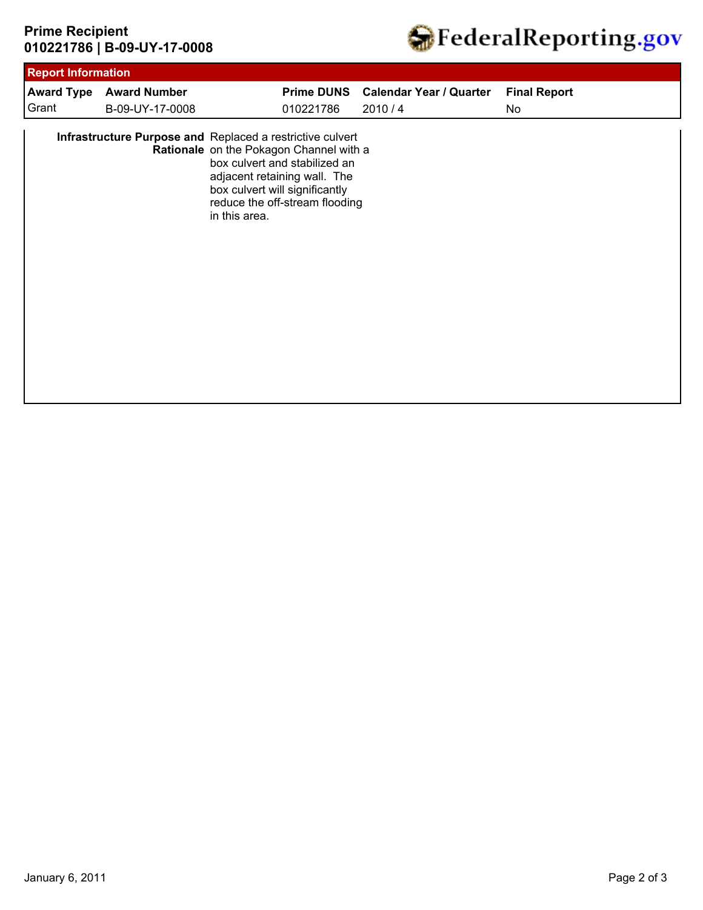## **010221786 | B-09-UY-17-0008 Prime Recipient**



| <b>Report Information</b> |                                                           |               |                                                                                                                                                                              |                                |                     |  |
|---------------------------|-----------------------------------------------------------|---------------|------------------------------------------------------------------------------------------------------------------------------------------------------------------------------|--------------------------------|---------------------|--|
| <b>Award Type</b>         | <b>Award Number</b>                                       |               | <b>Prime DUNS</b>                                                                                                                                                            | <b>Calendar Year / Quarter</b> | <b>Final Report</b> |  |
| Grant                     | B-09-UY-17-0008                                           |               | 010221786                                                                                                                                                                    | 2010/4                         | No                  |  |
|                           | Infrastructure Purpose and Replaced a restrictive culvert | in this area. | Rationale on the Pokagon Channel with a<br>box culvert and stabilized an<br>adjacent retaining wall. The<br>box culvert will significantly<br>reduce the off-stream flooding |                                |                     |  |